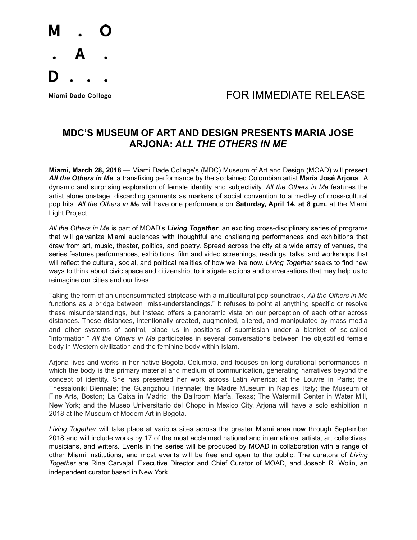

## Miami Dade College **Algebra 1999 TOR IMMEDIATE RELEASE**

## **MDC'S MUSEUM OF ART AND DESIGN PRESENTS MARIA JOSE ARJONA:** *ALL THE OTHERS IN ME*

**Miami, March 28, 2018** — Miami Dade College's (MDC) Museum of Art and Design (MOAD) will present *All the Others in Me*, a transfixing performance by the acclaimed Colombian artist **María José Arjona**. A dynamic and surprising exploration of female identity and subjectivity, *All the Others in Me* features the artist alone onstage, discarding garments as markers of social convention to a medley of cross-cultural pop hits. *All the Others in Me* will have one performance on **Saturday, April 14, at 8 p.m.** at the Miami Light Project.

*All the Others in Me* is part of MOAD's *Living Together*, an exciting cross-disciplinary series of programs that will galvanize Miami audiences with thoughtful and challenging performances and exhibitions that draw from art, music, theater, politics, and poetry. Spread across the city at a wide array of venues, the series features performances, exhibitions, film and video screenings, readings, talks, and workshops that will reflect the cultural, social, and political realities of how we live now. *Living Together* seeks to find new ways to think about civic space and citizenship, to instigate actions and conversations that may help us to reimagine our cities and our lives.

Taking the form of an unconsummated striptease with a multicultural pop soundtrack, *All the Others in Me*  functions as a bridge between "miss-understandings." It refuses to point at anything specific or resolve these misunderstandings, but instead offers a panoramic vista on our perception of each other across distances. These distances, intentionally created, augmented, altered, and manipulated by mass media and other systems of control, place us in positions of submission under a blanket of so-called "information." *All the Others in Me* participates in several conversations between the objectified female body in Western civilization and the feminine body within Islam.

Arjona lives and works in her native Bogota, Columbia, and focuses on long durational performances in which the body is the primary material and medium of communication, generating narratives beyond the concept of identity. She has presented her work across Latin America; at the Louvre in Paris; the Thessaloniki Biennale; the Guangzhou Triennale; the Madre Museum in Naples, Italy; the Museum of Fine Arts, Boston; La Caixa in Madrid; the Ballroom Marfa, Texas; The Watermill Center in Water Mill, New York; and the Museo Universitario del Chopo in Mexico City. Arjona will have a solo exhibition in 2018 at the Museum of Modern Art in Bogota.

*Living Together* will take place at various sites across the greater Miami area now through September 2018 and will include works by 17 of the most acclaimed national and international artists, art collectives, musicians, and writers. Events in the series will be produced by MOAD in collaboration with a range of other Miami institutions, and most events will be free and open to the public. The curators of *Living Together* are Rina Carvajal, Executive Director and Chief Curator of MOAD, and Joseph R. Wolin, an independent curator based in New York.